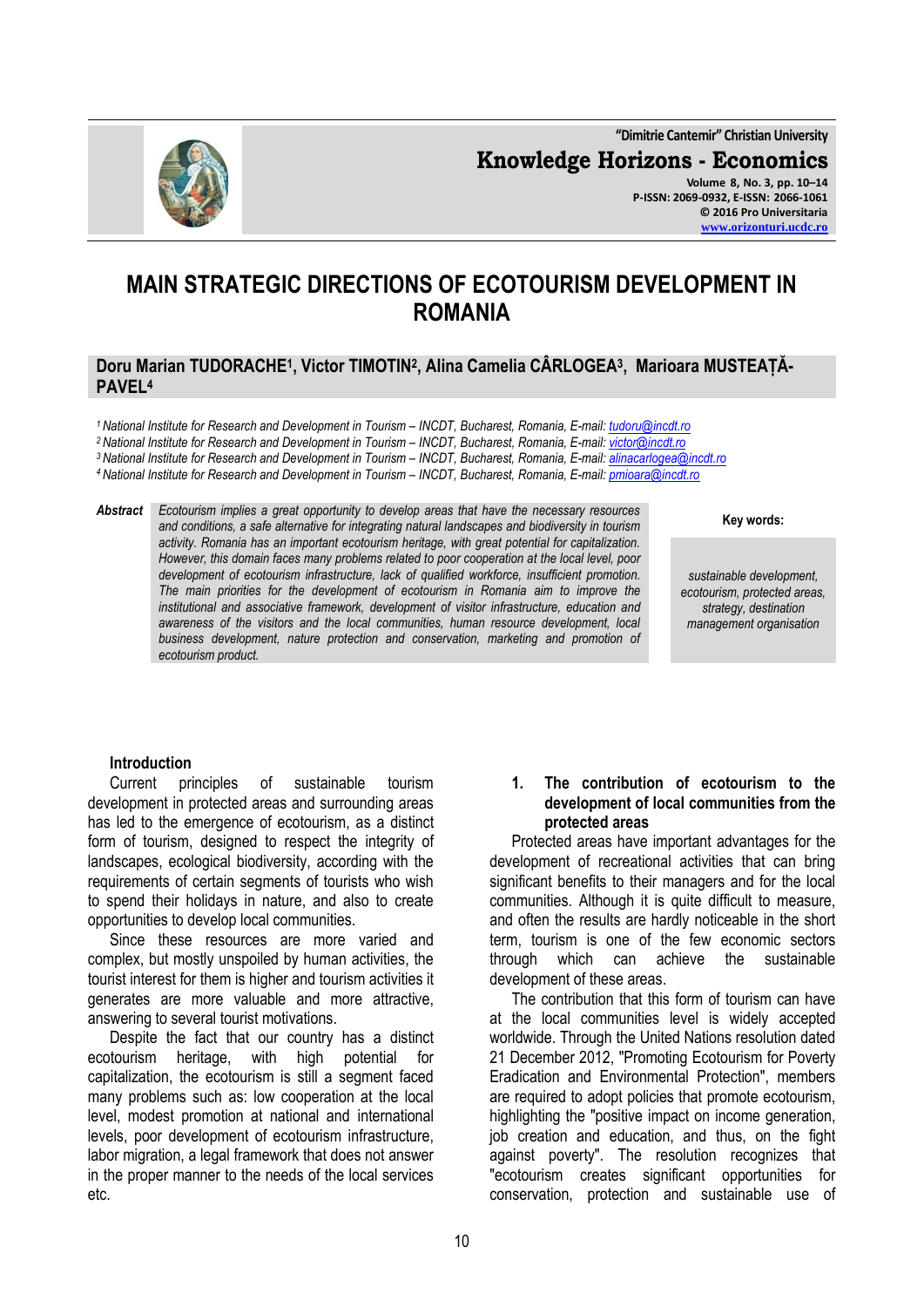**"Dimitrie Cantemir" Christian University Knowledge Horizons - Economics Volume 8, No. 3, pp. 10–14 P-ISSN: 2069-0932, E-ISSN: 2066-1061**



# **MAIN STRATEGIC DIRECTIONS OF ECOTOURISM DEVELOPMENT IN ROMANIA**

## **Doru Marian TUDORACHE<sup>1</sup> , Victor TIMOTIN<sup>2</sup> , Alina Camelia CÂRLOGEA<sup>3</sup> , Marioara MUSTEAȚĂ-PAVEL<sup>4</sup>**

*National Institute for Research and Development in Tourism – INCDT, Bucharest, Romania, E-mail[: tudoru@incdt.ro](mailto:tudoru@incdt.ro) National Institute for Research and Development in Tourism – INCDT, Bucharest, Romania, E-mail: [victor@incdt.ro](mailto:victor@incdt.ro) National Institute for Research and Development in Tourism – INCDT, Bucharest, Romania, E-mail[: alinacarlogea@incdt.ro](mailto:alinacarlogea@incdt.ro) National Institute for Research and Development in Tourism – INCDT, Bucharest, Romania, E-mail[: pmioara@incdt.ro](mailto:pmioara@incdt.ro)*

*Abstract Ecotourism implies a great opportunity to develop areas that have the necessary resources and conditions, a safe alternative for integrating natural landscapes and biodiversity in tourism activity. Romania has an important ecotourism heritage, with great potential for capitalization. However, this domain faces many problems related to poor cooperation at the local level, poor development of ecotourism infrastructure, lack of qualified workforce, insufficient promotion. The main priorities for the development of ecotourism in Romania aim to improve the institutional and associative framework, development of visitor infrastructure, education and awareness of the visitors and the local communities, human resource development, local business development, nature protection and conservation, marketing and promotion of ecotourism product.*

**Key words:**

*sustainable development, ecotourism, protected areas, strategy, destination management organisation*

## **Introduction**

Current principles of sustainable tourism development in protected areas and surrounding areas has led to the emergence of ecotourism, as a distinct form of tourism, designed to respect the integrity of landscapes, ecological biodiversity, according with the requirements of certain segments of tourists who wish to spend their holidays in nature, and also to create opportunities to develop local communities.

Since these resources are more varied and complex, but mostly unspoiled by human activities, the tourist interest for them is higher and tourism activities it generates are more valuable and more attractive, answering to several tourist motivations.

Despite the fact that our country has a distinct ecotourism heritage, with high potential for capitalization, the ecotourism is still a segment faced many problems such as: low cooperation at the local level, modest promotion at national and international levels, poor development of ecotourism infrastructure, labor migration, a legal framework that does not answer in the proper manner to the needs of the local services etc.

#### **1. The contribution of ecotourism to the development of local communities from the protected areas**

Protected areas have important advantages for the development of recreational activities that can bring significant benefits to their managers and for the local communities. Although it is quite difficult to measure, and often the results are hardly noticeable in the short term, tourism is one of the few economic sectors through which can achieve the sustainable development of these areas.

The contribution that this form of tourism can have at the local communities level is widely accepted worldwide. Through the United Nations resolution dated 21 December 2012, "Promoting Ecotourism for Poverty Eradication and Environmental Protection", members are required to adopt policies that promote ecotourism, highlighting the "positive impact on income generation, job creation and education, and thus, on the fight against poverty". The resolution recognizes that "ecotourism creates significant opportunities for conservation, protection and sustainable use of

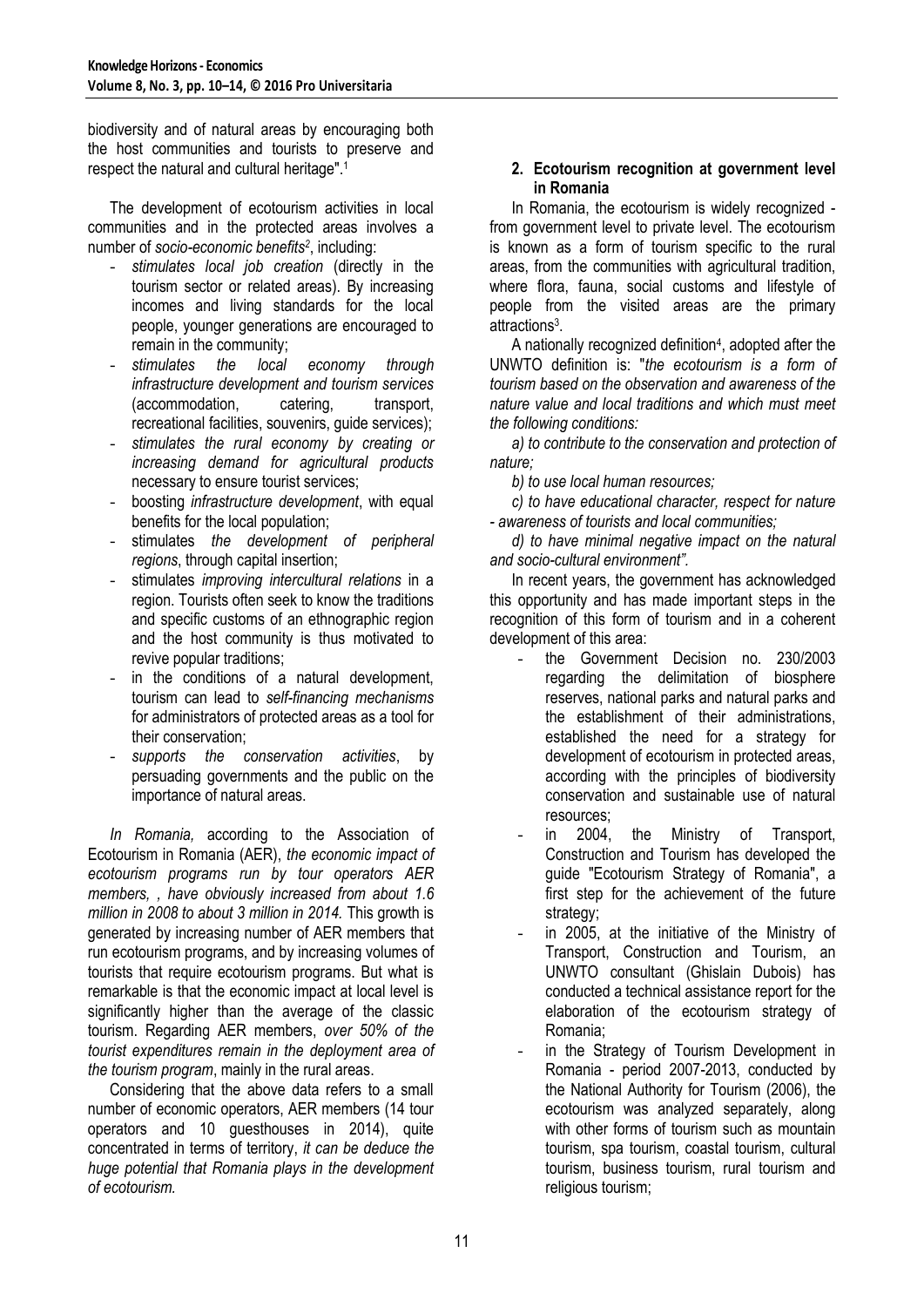biodiversity and of natural areas by encouraging both the host communities and tourists to preserve and respect the natural and cultural heritage".<sup>1</sup>

The development of ecotourism activities in local communities and in the protected areas involves a number of *socio-economic benefits<sup>2</sup>* , including:

- *stimulates local job creation* (directly in the tourism sector or related areas). By increasing incomes and living standards for the local people, younger generations are encouraged to remain in the community;<br>stimulates the local
- *stimulates the local economy through infrastructure development and tourism services* (accommodation, catering, transport, recreational facilities, souvenirs, guide services);
- *stimulates the rural economy by creating or increasing demand for agricultural products* necessary to ensure tourist services;
- boosting *infrastructure development*, with equal benefits for the local population;
- stimulates *the development of peripheral regions*, through capital insertion;
- stimulates *improving intercultural relations* in a region. Tourists often seek to know the traditions and specific customs of an ethnographic region and the host community is thus motivated to revive popular traditions;
- in the conditions of a natural development, tourism can lead to *self-financing mechanisms* for administrators of protected areas as a tool for their conservation;
- *supports the conservation activities*, by persuading governments and the public on the importance of natural areas.

*In Romania,* according to the Association of Ecotourism in Romania (AER), *the economic impact of ecotourism programs run by tour operators AER members, , have obviously increased from about 1.6 million in 2008 to about 3 million in 2014.* This growth is generated by increasing number of AER members that run ecotourism programs, and by increasing volumes of tourists that require ecotourism programs. But what is remarkable is that the economic impact at local level is significantly higher than the average of the classic tourism. Regarding AER members, *over 50% of the tourist expenditures remain in the deployment area of the tourism program*, mainly in the rural areas.

Considering that the above data refers to a small number of economic operators, AER members (14 tour operators and 10 guesthouses in 2014), quite concentrated in terms of territory, *it can be deduce the huge potential that Romania plays in the development of ecotourism.*

# **2. Ecotourism recognition at government level in Romania**

In Romania, the ecotourism is widely recognized from government level to private level. The ecotourism is known as a form of tourism specific to the rural areas, from the communities with agricultural tradition, where flora, fauna, social customs and lifestyle of people from the visited areas are the primary attractions<sup>3</sup>.

A nationally recognized definition<sup>4</sup>, adopted after the UNWTO definition is: "*the ecotourism is a form of tourism based on the observation and awareness of the nature value and local traditions and which must meet the following conditions:*

*a) to contribute to the conservation and protection of nature;*

*b) to use local human resources;*

*c) to have educational character, respect for nature - awareness of tourists and local communities;*

*d) to have minimal negative impact on the natural and socio-cultural environment".*

In recent years, the government has acknowledged this opportunity and has made important steps in the recognition of this form of tourism and in a coherent development of this area:

- the Government Decision no. 230/2003 regarding the delimitation of biosphere reserves, national parks and natural parks and the establishment of their administrations, established the need for a strategy for development of ecotourism in protected areas, according with the principles of biodiversity conservation and sustainable use of natural resources;
- in 2004, the Ministry of Transport, Construction and Tourism has developed the guide "Ecotourism Strategy of Romania", a first step for the achievement of the future strategy;
- in 2005, at the initiative of the Ministry of Transport, Construction and Tourism, an UNWTO consultant (Ghislain Dubois) has conducted a technical assistance report for the elaboration of the ecotourism strategy of Romania;
- in the Strategy of Tourism Development in Romania - period 2007-2013, conducted by the National Authority for Tourism (2006), the ecotourism was analyzed separately, along with other forms of tourism such as mountain tourism, spa tourism, coastal tourism, cultural tourism, business tourism, rural tourism and religious tourism;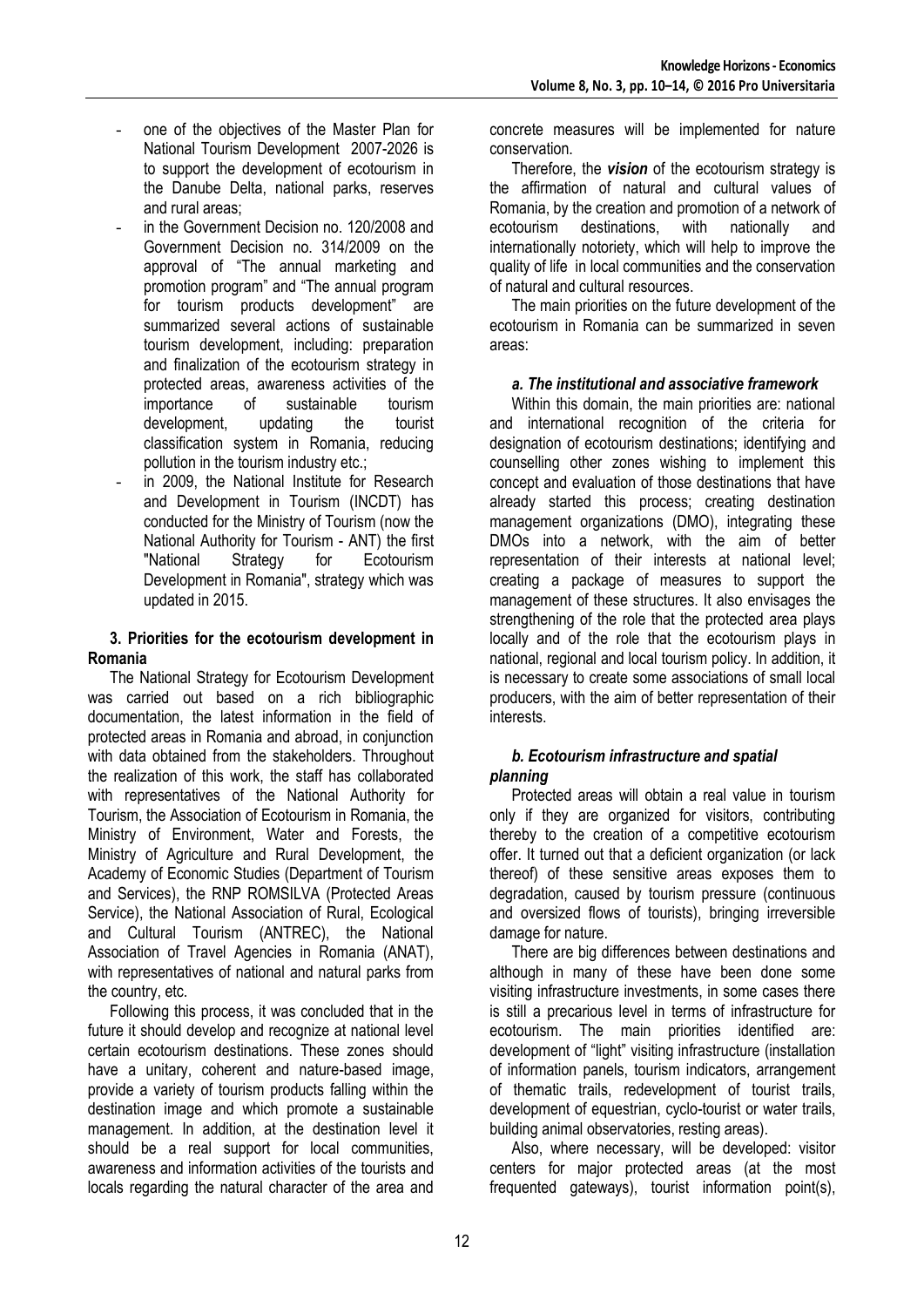- one of the objectives of the Master Plan for National Tourism Development 2007-2026 is to support the development of ecotourism in the Danube Delta, national parks, reserves and rural areas;
- in the Government Decision no. 120/2008 and Government Decision no. 314/2009 on the approval of "The annual marketing and promotion program" and "The annual program for tourism products development" are summarized several actions of sustainable tourism development, including: preparation and finalization of the ecotourism strategy in protected areas, awareness activities of the importance of sustainable tourism development, updating the tourist classification system in Romania, reducing pollution in the tourism industry etc.;
- in 2009, the National Institute for Research and Development in Tourism (INCDT) has conducted for the Ministry of Tourism (now the National Authority for Tourism - ANT) the first "National Strategy for Ecotourism Development in Romania", strategy which was updated in 2015.

## **3. Priorities for the ecotourism development in Romania**

The National Strategy for Ecotourism Development was carried out based on a rich bibliographic documentation, the latest information in the field of protected areas in Romania and abroad, in conjunction with data obtained from the stakeholders. Throughout the realization of this work, the staff has collaborated with representatives of the National Authority for Tourism, the Association of Ecotourism in Romania, the Ministry of Environment, Water and Forests, the Ministry of Agriculture and Rural Development, the Academy of Economic Studies (Department of Tourism and Services), the RNP ROMSILVA (Protected Areas Service), the National Association of Rural, Ecological and Cultural Tourism (ANTREC), the National Association of Travel Agencies in Romania (ANAT), with representatives of national and natural parks from the country, etc.

Following this process, it was concluded that in the future it should develop and recognize at national level certain ecotourism destinations. These zones should have a unitary, coherent and nature-based image, provide a variety of tourism products falling within the destination image and which promote a sustainable management. In addition, at the destination level it should be a real support for local communities, awareness and information activities of the tourists and locals regarding the natural character of the area and

concrete measures will be implemented for nature conservation.

Therefore, the *vision* of the ecotourism strategy is the affirmation of natural and cultural values of Romania, by the creation and promotion of a network of ecotourism destinations, with nationally and internationally notoriety, which will help to improve the quality of life in local communities and the conservation of natural and cultural resources.

The main priorities on the future development of the ecotourism in Romania can be summarized in seven areas:

# *a. The institutional and associative framework*

Within this domain, the main priorities are: national and international recognition of the criteria for designation of ecotourism destinations; identifying and counselling other zones wishing to implement this concept and evaluation of those destinations that have already started this process; creating destination management organizations (DMO), integrating these DMOs into a network, with the aim of better representation of their interests at national level; creating a package of measures to support the management of these structures. It also envisages the strengthening of the role that the protected area plays locally and of the role that the ecotourism plays in national, regional and local tourism policy. In addition, it is necessary to create some associations of small local producers, with the aim of better representation of their interests.

## *b. Ecotourism infrastructure and spatial planning*

Protected areas will obtain a real value in tourism only if they are organized for visitors, contributing thereby to the creation of a competitive ecotourism offer. It turned out that a deficient organization (or lack thereof) of these sensitive areas exposes them to degradation, caused by tourism pressure (continuous and oversized flows of tourists), bringing irreversible damage for nature.

There are big differences between destinations and although in many of these have been done some visiting infrastructure investments, in some cases there is still a precarious level in terms of infrastructure for ecotourism. The main priorities identified are: development of "light" visiting infrastructure (installation of information panels, tourism indicators, arrangement of thematic trails, redevelopment of tourist trails, development of equestrian, cyclo-tourist or water trails, building animal observatories, resting areas).

Also, where necessary, will be developed: visitor centers for major protected areas (at the most frequented gateways), tourist information point(s),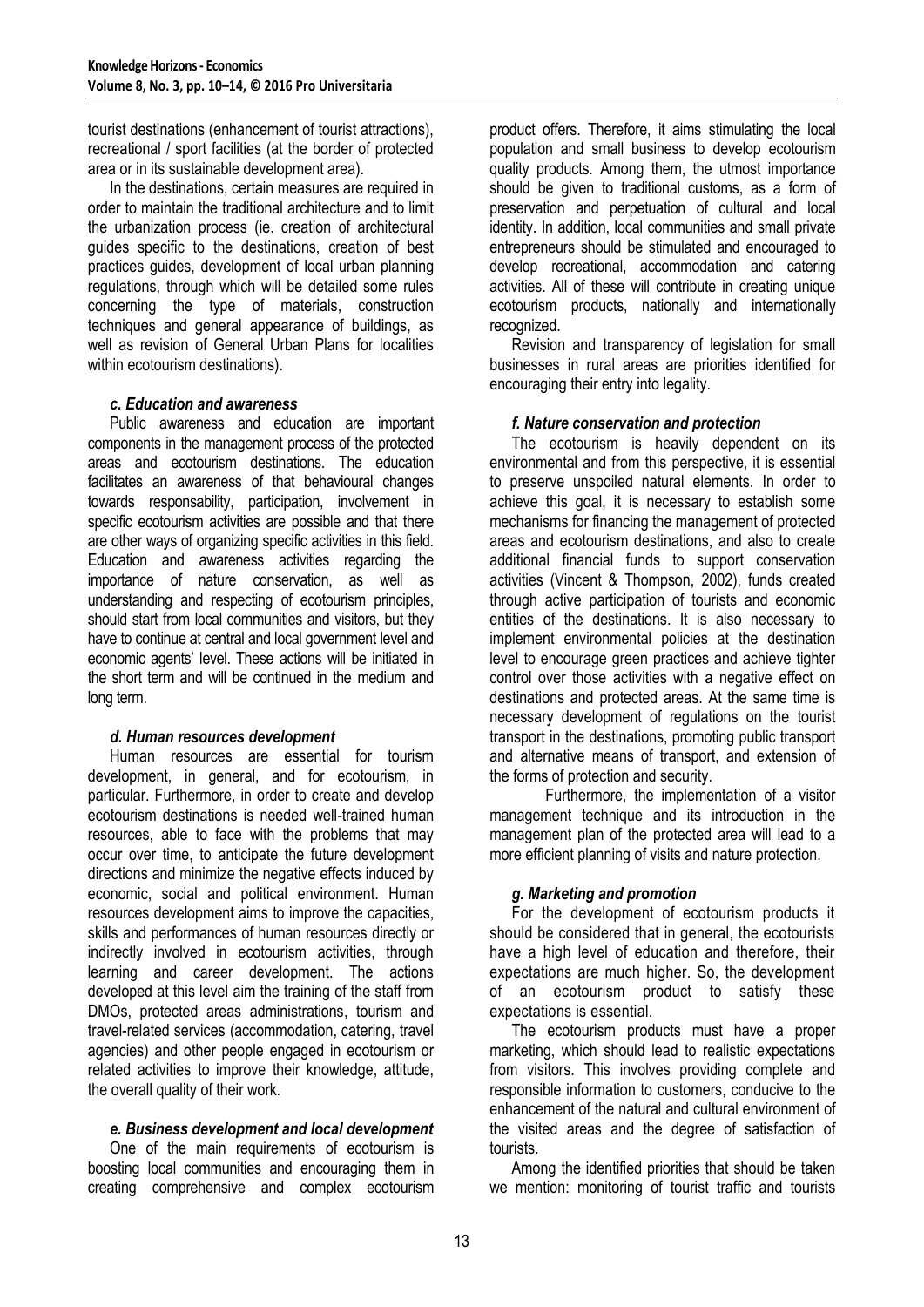tourist destinations (enhancement of tourist attractions), recreational / sport facilities (at the border of protected area or in its sustainable development area).

In the destinations, certain measures are required in order to maintain the traditional architecture and to limit the urbanization process (ie. creation of architectural guides specific to the destinations, creation of best practices guides, development of local urban planning regulations, through which will be detailed some rules concerning the type of materials, construction techniques and general appearance of buildings, as well as revision of General Urban Plans for localities within ecotourism destinations).

## *c. Education and awareness*

Public awareness and education are important components in the management process of the protected areas and ecotourism destinations. The education facilitates an awareness of that behavioural changes towards responsability, participation, involvement in specific ecotourism activities are possible and that there are other ways of organizing specific activities in this field. Education and awareness activities regarding the importance of nature conservation, as well as understanding and respecting of ecotourism principles, should start from local communities and visitors, but they have to continue at central and local government level and economic agents' level. These actions will be initiated in the short term and will be continued in the medium and long term.

## *d. Human resources development*

Human resources are essential for tourism development, in general, and for ecotourism, in particular. Furthermore, in order to create and develop ecotourism destinations is needed well-trained human resources, able to face with the problems that may occur over time, to anticipate the future development directions and minimize the negative effects induced by economic, social and political environment. Human resources development aims to improve the capacities, skills and performances of human resources directly or indirectly involved in ecotourism activities, through learning and career development. The actions developed at this level aim the training of the staff from DMOs, protected areas administrations, tourism and travel-related services (accommodation, catering, travel agencies) and other people engaged in ecotourism or related activities to improve their knowledge, attitude, the overall quality of their work.

#### *e. Business development and local development*

One of the main requirements of ecotourism is boosting local communities and encouraging them in creating comprehensive and complex ecotourism product offers. Therefore, it aims stimulating the local population and small business to develop ecotourism quality products. Among them, the utmost importance should be given to traditional customs, as a form of preservation and perpetuation of cultural and local identity. In addition, local communities and small private entrepreneurs should be stimulated and encouraged to develop recreational, accommodation and catering activities. All of these will contribute in creating unique ecotourism products, nationally and internationally recognized.

Revision and transparency of legislation for small businesses in rural areas are priorities identified for encouraging their entry into legality.

## *f. Nature conservation and protection*

The ecotourism is heavily dependent on its environmental and from this perspective, it is essential to preserve unspoiled natural elements. In order to achieve this goal, it is necessary to establish some mechanisms for financing the management of protected areas and ecotourism destinations, and also to create additional financial funds to support conservation activities (Vincent & Thompson, 2002), funds created through active participation of tourists and economic entities of the destinations. It is also necessary to implement environmental policies at the destination level to encourage green practices and achieve tighter control over those activities with a negative effect on destinations and protected areas. At the same time is necessary development of regulations on the tourist transport in the destinations, promoting public transport and alternative means of transport, and extension of the forms of protection and security.

Furthermore, the implementation of a visitor management technique and its introduction in the management plan of the protected area will lead to a more efficient planning of visits and nature protection.

## *g. Marketing and promotion*

For the development of ecotourism products it should be considered that in general, the ecotourists have a high level of education and therefore, their expectations are much higher. So, the development of an ecotourism product to satisfy these expectations is essential.

The ecotourism products must have a proper marketing, which should lead to realistic expectations from visitors. This involves providing complete and responsible information to customers, conducive to the enhancement of the natural and cultural environment of the visited areas and the degree of satisfaction of tourists.

Among the identified priorities that should be taken we mention: monitoring of tourist traffic and tourists